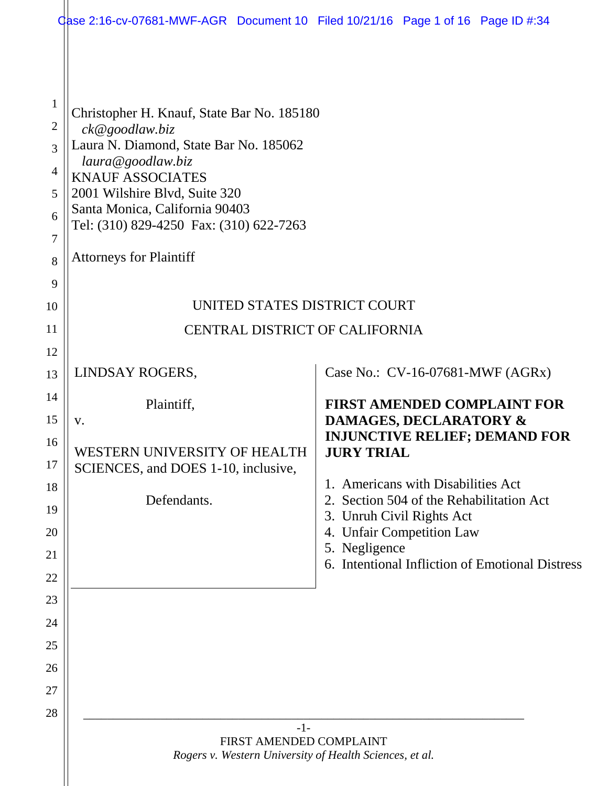|                                                                           | Qase 2:16-cv-07681-MWF-AGR Document 10 Filed 10/21/16 Page 1 of 16 Page ID #:34                                                                                                                                                                                                                        |                                                                                                             |  |  |
|---------------------------------------------------------------------------|--------------------------------------------------------------------------------------------------------------------------------------------------------------------------------------------------------------------------------------------------------------------------------------------------------|-------------------------------------------------------------------------------------------------------------|--|--|
| $\mathbf{1}$<br>$\overline{2}$<br>3<br>$\overline{4}$<br>5<br>6<br>7<br>8 | Christopher H. Knauf, State Bar No. 185180<br>ck@goodlaw.biz<br>Laura N. Diamond, State Bar No. 185062<br>laura@goodlaw.biz<br><b>KNAUF ASSOCIATES</b><br>2001 Wilshire Blvd, Suite 320<br>Santa Monica, California 90403<br>Tel: (310) 829-4250 Fax: (310) 622-7263<br><b>Attorneys for Plaintiff</b> |                                                                                                             |  |  |
| 9<br>10                                                                   | UNITED STATES DISTRICT COURT                                                                                                                                                                                                                                                                           |                                                                                                             |  |  |
| 11                                                                        | <b>CENTRAL DISTRICT OF CALIFORNIA</b>                                                                                                                                                                                                                                                                  |                                                                                                             |  |  |
| 12                                                                        |                                                                                                                                                                                                                                                                                                        |                                                                                                             |  |  |
| 13                                                                        | LINDSAY ROGERS,                                                                                                                                                                                                                                                                                        | Case No.: CV-16-07681-MWF (AGRx)                                                                            |  |  |
| 14                                                                        | Plaintiff,                                                                                                                                                                                                                                                                                             | <b>FIRST AMENDED COMPLAINT FOR</b>                                                                          |  |  |
| 15                                                                        | V.                                                                                                                                                                                                                                                                                                     | DAMAGES, DECLARATORY &<br><b>INJUNCTIVE RELIEF; DEMAND FOR</b>                                              |  |  |
| 16<br>17                                                                  | WESTERN UNIVERSITY OF HEALTH<br>SCIENCES, and DOES 1-10, inclusive,                                                                                                                                                                                                                                    | <b>JURY TRIAL</b>                                                                                           |  |  |
| 18<br>19                                                                  | Defendants.                                                                                                                                                                                                                                                                                            | 1. Americans with Disabilities Act<br>2. Section 504 of the Rehabilitation Act<br>3. Unruh Civil Rights Act |  |  |
| 20                                                                        |                                                                                                                                                                                                                                                                                                        | 4. Unfair Competition Law                                                                                   |  |  |
| 21                                                                        |                                                                                                                                                                                                                                                                                                        | 5. Negligence<br>6. Intentional Infliction of Emotional Distress                                            |  |  |
| 22                                                                        |                                                                                                                                                                                                                                                                                                        |                                                                                                             |  |  |
| 23                                                                        |                                                                                                                                                                                                                                                                                                        |                                                                                                             |  |  |
| 24                                                                        |                                                                                                                                                                                                                                                                                                        |                                                                                                             |  |  |
| 25<br>26                                                                  |                                                                                                                                                                                                                                                                                                        |                                                                                                             |  |  |
| 27                                                                        |                                                                                                                                                                                                                                                                                                        |                                                                                                             |  |  |
| 28                                                                        |                                                                                                                                                                                                                                                                                                        |                                                                                                             |  |  |
|                                                                           | $-1-$<br>FIRST AMENDED COMPLAINT<br>Rogers v. Western University of Health Sciences, et al.                                                                                                                                                                                                            |                                                                                                             |  |  |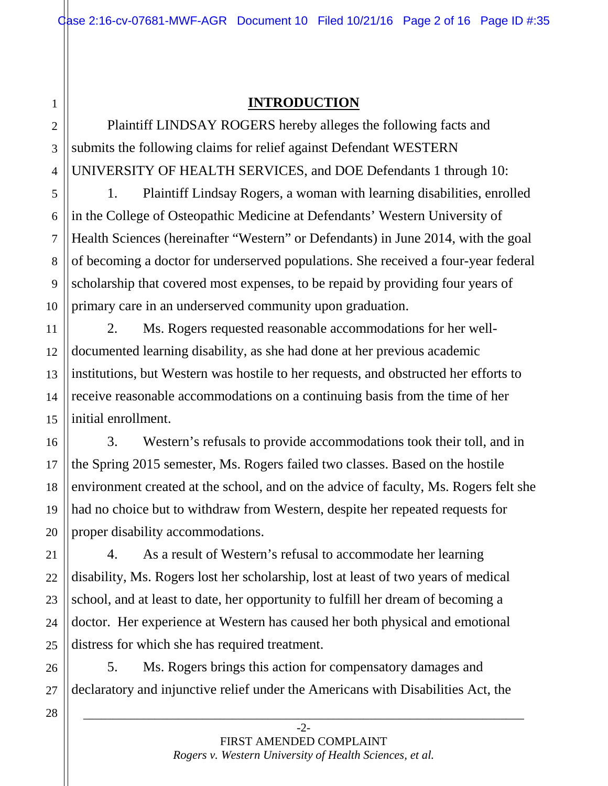### **INTRODUCTION**

Plaintiff LINDSAY ROGERS hereby alleges the following facts and submits the following claims for relief against Defendant WESTERN UNIVERSITY OF HEALTH SERVICES, and DOE Defendants 1 through 10:

1. Plaintiff Lindsay Rogers, a woman with learning disabilities, enrolled in the College of Osteopathic Medicine at Defendants' Western University of Health Sciences (hereinafter "Western" or Defendants) in June 2014, with the goal of becoming a doctor for underserved populations. She received a four-year federal scholarship that covered most expenses, to be repaid by providing four years of primary care in an underserved community upon graduation.

14 2. Ms. Rogers requested reasonable accommodations for her welldocumented learning disability, as she had done at her previous academic institutions, but Western was hostile to her requests, and obstructed her efforts to receive reasonable accommodations on a continuing basis from the time of her initial enrollment.

3. Western's refusals to provide accommodations took their toll, and in the Spring 2015 semester, Ms. Rogers failed two classes. Based on the hostile environment created at the school, and on the advice of faculty, Ms. Rogers felt she had no choice but to withdraw from Western, despite her repeated requests for proper disability accommodations.

4. As a result of Western's refusal to accommodate her learning disability, Ms. Rogers lost her scholarship, lost at least of two years of medical school, and at least to date, her opportunity to fulfill her dream of becoming a doctor. Her experience at Western has caused her both physical and emotional distress for which she has required treatment.

5. Ms. Rogers brings this action for compensatory damages and declaratory and injunctive relief under the Americans with Disabilities Act, the

28

27

1

2

3

4

5

6

7

8

9

10

11

12

13

15

16

17

18

19

20

21

22

23

24

25

26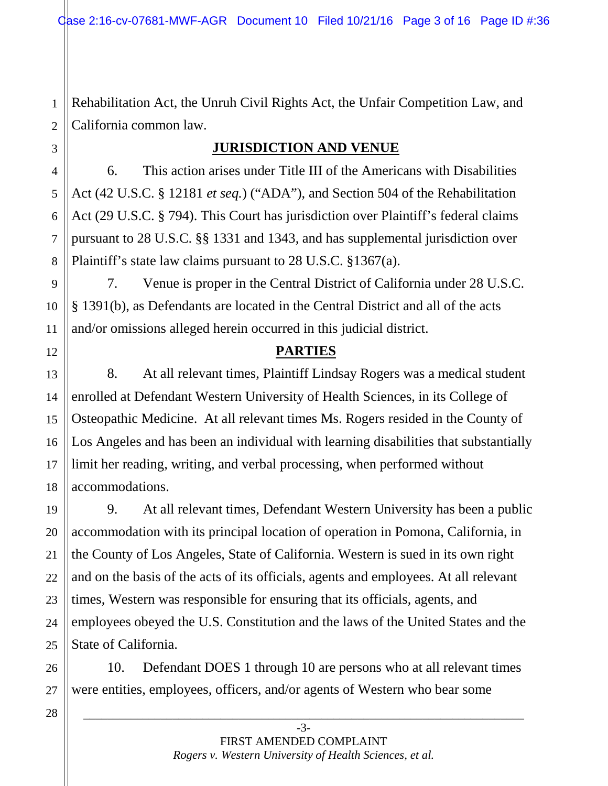Rehabilitation Act, the Unruh Civil Rights Act, the Unfair Competition Law, and California common law.

### **JURISDICTION AND VENUE**

6. This action arises under Title III of the Americans with Disabilities Act (42 U.S.C. § 12181 *et seq.*) ("ADA"), and Section 504 of the Rehabilitation Act (29 U.S.C. § 794). This Court has jurisdiction over Plaintiff's federal claims pursuant to 28 U.S.C. §§ 1331 and 1343, and has supplemental jurisdiction over Plaintiff's state law claims pursuant to 28 U.S.C. §1367(a).

7. Venue is proper in the Central District of California under 28 U.S.C. § 1391(b), as Defendants are located in the Central District and all of the acts and/or omissions alleged herein occurred in this judicial district.

### **PARTIES**

8. At all relevant times, Plaintiff Lindsay Rogers was a medical student enrolled at Defendant Western University of Health Sciences, in its College of Osteopathic Medicine. At all relevant times Ms. Rogers resided in the County of Los Angeles and has been an individual with learning disabilities that substantially limit her reading, writing, and verbal processing, when performed without accommodations.

9. At all relevant times, Defendant Western University has been a public accommodation with its principal location of operation in Pomona, California, in the County of Los Angeles, State of California. Western is sued in its own right and on the basis of the acts of its officials, agents and employees. At all relevant times, Western was responsible for ensuring that its officials, agents, and employees obeyed the U.S. Constitution and the laws of the United States and the State of California.

10. Defendant DOES 1 through 10 are persons who at all relevant times were entities, employees, officers, and/or agents of Western who bear some

28

1

2

3

4

5

6

7

8

9

10

11

12

13

14

15

16

17

18

19

20

21

22

23

24

25

26

27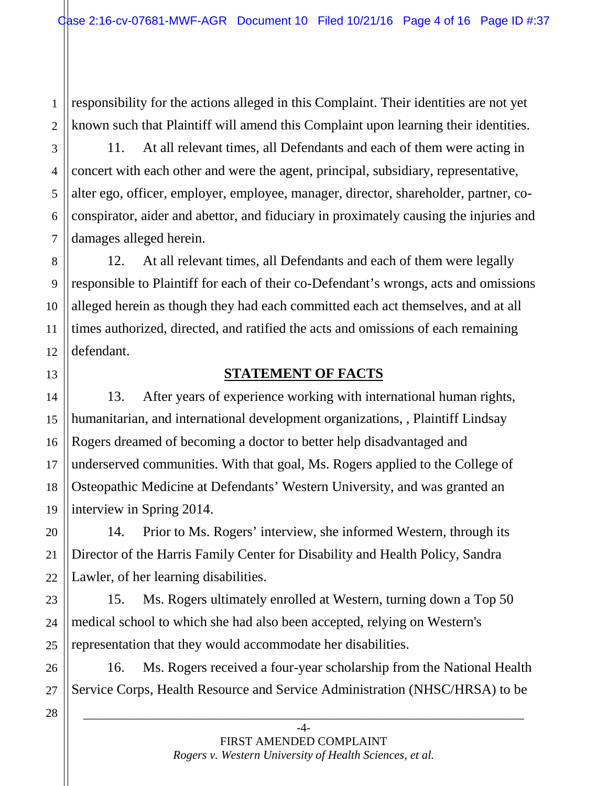2 responsibility for the actions alleged in this Complaint. Their identities are not yet known such that Plaintiff will amend this Complaint upon learning their identities.

11. At all relevant times, all Defendants and each of them were acting in concert with each other and were the agent, principal, subsidiary, representative, alter ego, officer, employer, employee, manager, director, shareholder, partner, coconspirator, aider and abettor, and fiduciary in proximately causing the injuries and damages alleged herein.

12. At all relevant times, all Defendants and each of them were legally responsible to Plaintiff for each of their co-Defendant's wrongs, acts and omissions alleged herein as though they had each committed each act themselves, and at all times authorized, directed, and ratified the acts and omissions of each remaining defendant.

### **STATEMENT OF FACTS**

13. After years of experience working with international human rights, humanitarian, and international development organizations, , Plaintiff Lindsay Rogers dreamed of becoming a doctor to better help disadvantaged and underserved communities. With that goal, Ms. Rogers applied to the College of Osteopathic Medicine at Defendants' Western University, and was granted an interview in Spring 2014.

14. Prior to Ms. Rogers' interview, she informed Western, through its Director of the Harris Family Center for Disability and Health Policy, Sandra Lawler, of her learning disabilities.

15. Ms. Rogers ultimately enrolled at Western, turning down a Top 50 medical school to which she had also been accepted, relying on Western's representation that they would accommodate her disabilities.

16. Ms. Rogers received a four-year scholarship from the National Health Service Corps, Health Resource and Service Administration (NHSC/HRSA) to be

28

1

3

4

5

6

7

8

9

10

11

12

13

14

15

16

17

18

19

20

21

22

23

24

25

26

27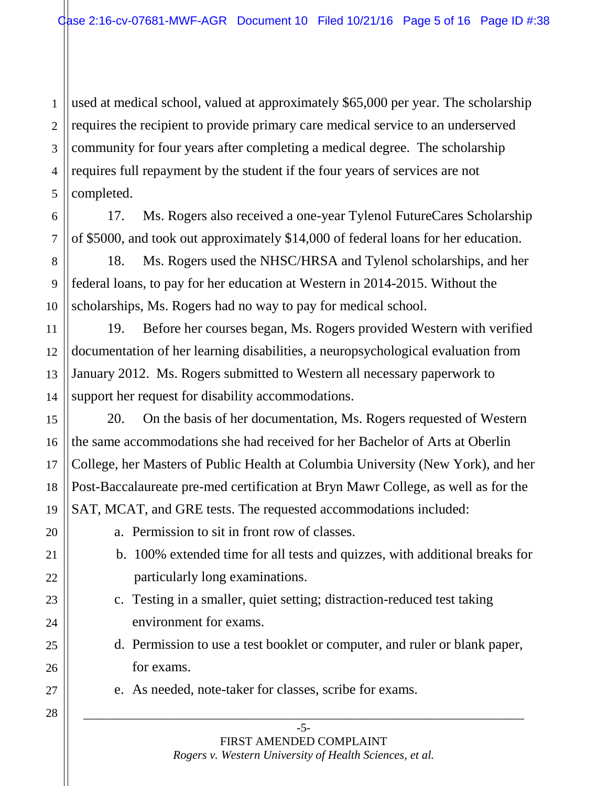1 used at medical school, valued at approximately \$65,000 per year. The scholarship requires the recipient to provide primary care medical service to an underserved community for four years after completing a medical degree. The scholarship requires full repayment by the student if the four years of services are not completed.

17. Ms. Rogers also received a one-year Tylenol FutureCares Scholarship of \$5000, and took out approximately \$14,000 of federal loans for her education.

18. Ms. Rogers used the NHSC/HRSA and Tylenol scholarships, and her federal loans, to pay for her education at Western in 2014-2015. Without the scholarships, Ms. Rogers had no way to pay for medical school.

19. Before her courses began, Ms. Rogers provided Western with verified documentation of her learning disabilities, a neuropsychological evaluation from January 2012. Ms. Rogers submitted to Western all necessary paperwork to support her request for disability accommodations.

20. On the basis of her documentation, Ms. Rogers requested of Western the same accommodations she had received for her Bachelor of Arts at Oberlin College, her Masters of Public Health at Columbia University (New York), and her Post-Baccalaureate pre-med certification at Bryn Mawr College, as well as for the SAT, MCAT, and GRE tests. The requested accommodations included:

- a. Permission to sit in front row of classes.
- b. 100% extended time for all tests and quizzes, with additional breaks for particularly long examinations.
- c. Testing in a smaller, quiet setting; distraction-reduced test taking environment for exams.
- d. Permission to use a test booklet or computer, and ruler or blank paper, for exams.
- e. As needed, note-taker for classes, scribe for exams.

#### -5- FIRST AMENDED COMPLAINT *Rogers v. Western University of Health Sciences, et al.*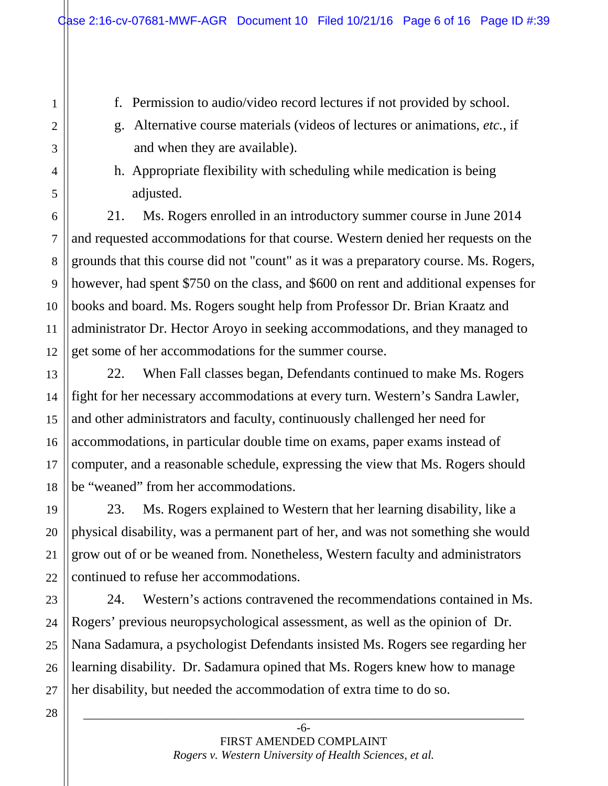f. Permission to audio/video record lectures if not provided by school.

- g. Alternative course materials (videos of lectures or animations, *etc.*, if and when they are available).
- h. Appropriate flexibility with scheduling while medication is being adjusted.

21. Ms. Rogers enrolled in an introductory summer course in June 2014 and requested accommodations for that course. Western denied her requests on the grounds that this course did not "count" as it was a preparatory course. Ms. Rogers, however, had spent \$750 on the class, and \$600 on rent and additional expenses for books and board. Ms. Rogers sought help from Professor Dr. Brian Kraatz and administrator Dr. Hector Aroyo in seeking accommodations, and they managed to get some of her accommodations for the summer course.

22. When Fall classes began, Defendants continued to make Ms. Rogers fight for her necessary accommodations at every turn. Western's Sandra Lawler, and other administrators and faculty, continuously challenged her need for accommodations, in particular double time on exams, paper exams instead of computer, and a reasonable schedule, expressing the view that Ms. Rogers should be "weaned" from her accommodations.

23. Ms. Rogers explained to Western that her learning disability, like a physical disability, was a permanent part of her, and was not something she would grow out of or be weaned from. Nonetheless, Western faculty and administrators continued to refuse her accommodations.

24. Western's actions contravened the recommendations contained in Ms. Rogers' previous neuropsychological assessment, as well as the opinion of Dr. Nana Sadamura, a psychologist Defendants insisted Ms. Rogers see regarding her learning disability. Dr. Sadamura opined that Ms. Rogers knew how to manage her disability, but needed the accommodation of extra time to do so.

1

2

3

4

5

6

7

8

9

10

11

12

13

14

15

16

17

18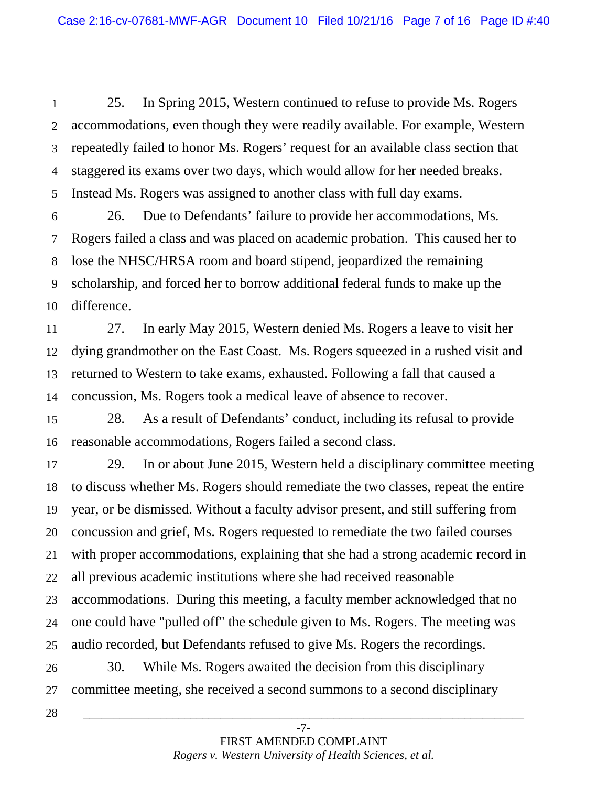25. In Spring 2015, Western continued to refuse to provide Ms. Rogers accommodations, even though they were readily available. For example, Western repeatedly failed to honor Ms. Rogers' request for an available class section that staggered its exams over two days, which would allow for her needed breaks. Instead Ms. Rogers was assigned to another class with full day exams.

26. Due to Defendants' failure to provide her accommodations, Ms. Rogers failed a class and was placed on academic probation. This caused her to lose the NHSC/HRSA room and board stipend, jeopardized the remaining scholarship, and forced her to borrow additional federal funds to make up the difference.

11 12 13 14 27. In early May 2015, Western denied Ms. Rogers a leave to visit her dying grandmother on the East Coast. Ms. Rogers squeezed in a rushed visit and returned to Western to take exams, exhausted. Following a fall that caused a concussion, Ms. Rogers took a medical leave of absence to recover.

28. As a result of Defendants' conduct, including its refusal to provide reasonable accommodations, Rogers failed a second class.

29. In or about June 2015, Western held a disciplinary committee meeting to discuss whether Ms. Rogers should remediate the two classes, repeat the entire year, or be dismissed. Without a faculty advisor present, and still suffering from concussion and grief, Ms. Rogers requested to remediate the two failed courses with proper accommodations, explaining that she had a strong academic record in all previous academic institutions where she had received reasonable accommodations. During this meeting, a faculty member acknowledged that no one could have "pulled off" the schedule given to Ms. Rogers. The meeting was audio recorded, but Defendants refused to give Ms. Rogers the recordings.

30. While Ms. Rogers awaited the decision from this disciplinary committee meeting, she received a second summons to a second disciplinary

28

1

2

3

4

5

6

7

8

9

10

15

16

17

18

19

20

21

22

23

24

25

26

27

-7- FIRST AMENDED COMPLAINT *Rogers v. Western University of Health Sciences, et al.*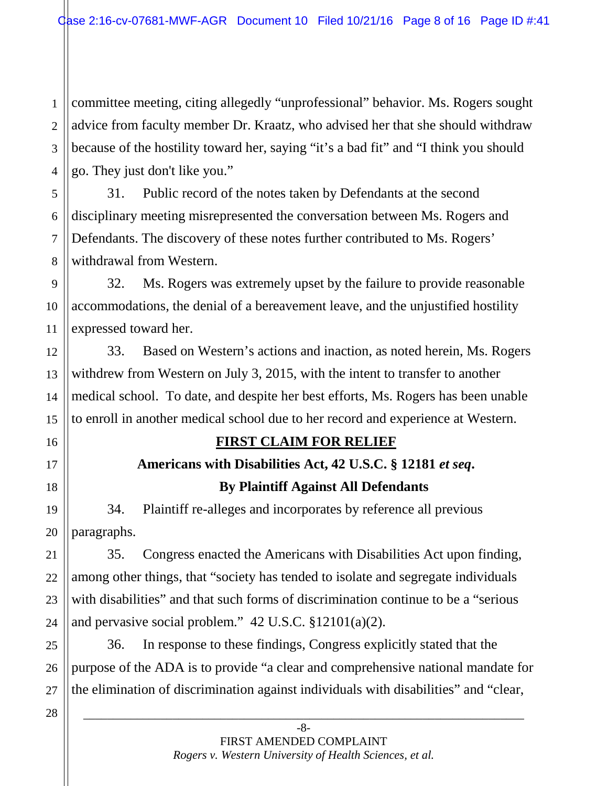1 2 3 4 committee meeting, citing allegedly "unprofessional" behavior. Ms. Rogers sought advice from faculty member Dr. Kraatz, who advised her that she should withdraw because of the hostility toward her, saying "it's a bad fit" and "I think you should go. They just don't like you."

5 6 7 8 31. Public record of the notes taken by Defendants at the second disciplinary meeting misrepresented the conversation between Ms. Rogers and Defendants. The discovery of these notes further contributed to Ms. Rogers' withdrawal from Western.

9 10 11 32. Ms. Rogers was extremely upset by the failure to provide reasonable accommodations, the denial of a bereavement leave, and the unjustified hostility expressed toward her.

33. Based on Western's actions and inaction, as noted herein, Ms. Rogers withdrew from Western on July 3, 2015, with the intent to transfer to another medical school. To date, and despite her best efforts, Ms. Rogers has been unable to enroll in another medical school due to her record and experience at Western.

# **FIRST CLAIM FOR RELIEF**

# **Americans with Disabilities Act, 42 U.S.C. § 12181** *et seq***.**

### **By Plaintiff Against All Defendants**

34. Plaintiff re-alleges and incorporates by reference all previous paragraphs.

35. Congress enacted the Americans with Disabilities Act upon finding, among other things, that "society has tended to isolate and segregate individuals with disabilities" and that such forms of discrimination continue to be a "serious and pervasive social problem."  $42 \text{ U.S.C. } $12101(a)(2)$ .

36. In response to these findings, Congress explicitly stated that the purpose of the ADA is to provide "a clear and comprehensive national mandate for the elimination of discrimination against individuals with disabilities" and "clear,

27 28

12

13

14

15

16

17

18

19

20

21

22

23

24

25

26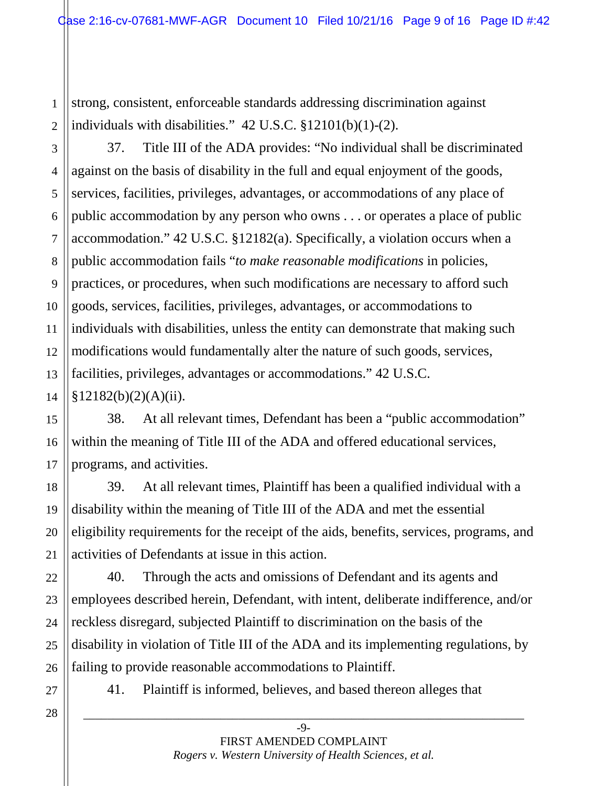1 2 strong, consistent, enforceable standards addressing discrimination against individuals with disabilities." 42 U.S.C. §12101(b)(1)-(2).

14 37. Title III of the ADA provides: "No individual shall be discriminated against on the basis of disability in the full and equal enjoyment of the goods, services, facilities, privileges, advantages, or accommodations of any place of public accommodation by any person who owns . . . or operates a place of public accommodation." 42 U.S.C. §12182(a). Specifically, a violation occurs when a public accommodation fails "*to make reasonable modifications* in policies, practices, or procedures, when such modifications are necessary to afford such goods, services, facilities, privileges, advantages, or accommodations to individuals with disabilities, unless the entity can demonstrate that making such modifications would fundamentally alter the nature of such goods, services, facilities, privileges, advantages or accommodations." 42 U.S.C. §12182(b)(2)(A)(ii).

38. At all relevant times, Defendant has been a "public accommodation" within the meaning of Title III of the ADA and offered educational services, programs, and activities.

39. At all relevant times, Plaintiff has been a qualified individual with a disability within the meaning of Title III of the ADA and met the essential eligibility requirements for the receipt of the aids, benefits, services, programs, and activities of Defendants at issue in this action.

40. Through the acts and omissions of Defendant and its agents and employees described herein, Defendant, with intent, deliberate indifference, and/or reckless disregard, subjected Plaintiff to discrimination on the basis of the disability in violation of Title III of the ADA and its implementing regulations, by failing to provide reasonable accommodations to Plaintiff.

27 28

3

4

5

6

7

8

9

10

11

12

13

15

16

17

18

19

20

21

22

23

24

25

26

41. Plaintiff is informed, believes, and based thereon alleges that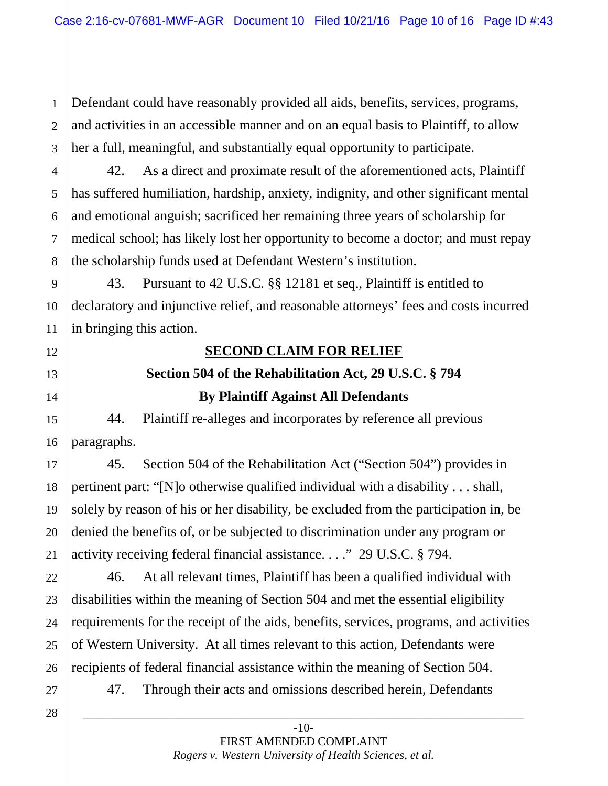1 2 3 Defendant could have reasonably provided all aids, benefits, services, programs, and activities in an accessible manner and on an equal basis to Plaintiff, to allow her a full, meaningful, and substantially equal opportunity to participate.

42. As a direct and proximate result of the aforementioned acts, Plaintiff has suffered humiliation, hardship, anxiety, indignity, and other significant mental and emotional anguish; sacrificed her remaining three years of scholarship for medical school; has likely lost her opportunity to become a doctor; and must repay the scholarship funds used at Defendant Western's institution.

43. Pursuant to 42 U.S.C. §§ 12181 et seq., Plaintiff is entitled to declaratory and injunctive relief, and reasonable attorneys' fees and costs incurred in bringing this action.

### **SECOND CLAIM FOR RELIEF**

# **Section 504 of the Rehabilitation Act, 29 U.S.C. § 794 By Plaintiff Against All Defendants**

44. Plaintiff re-alleges and incorporates by reference all previous paragraphs.

45. Section 504 of the Rehabilitation Act ("Section 504") provides in pertinent part: "[N]o otherwise qualified individual with a disability . . . shall, solely by reason of his or her disability, be excluded from the participation in, be denied the benefits of, or be subjected to discrimination under any program or activity receiving federal financial assistance. . . ." 29 U.S.C. § 794.

46. At all relevant times, Plaintiff has been a qualified individual with disabilities within the meaning of Section 504 and met the essential eligibility requirements for the receipt of the aids, benefits, services, programs, and activities of Western University. At all times relevant to this action, Defendants were recipients of federal financial assistance within the meaning of Section 504.

47. Through their acts and omissions described herein, Defendants

27 28

4

5

6

7

8

9

10

11

12

13

14

15

16

17

18

19

20

21

22

23

24

25

26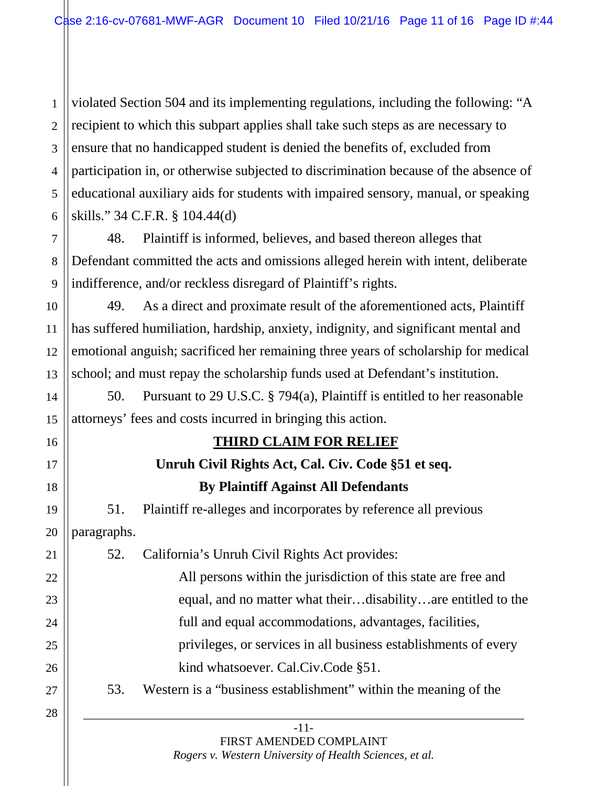1 2 3 4 5 6 violated Section 504 and its implementing regulations, including the following: "A recipient to which this subpart applies shall take such steps as are necessary to ensure that no handicapped student is denied the benefits of, excluded from participation in, or otherwise subjected to discrimination because of the absence of educational auxiliary aids for students with impaired sensory, manual, or speaking skills." 34 C.F.R. § 104.44(d)

48. Plaintiff is informed, believes, and based thereon alleges that Defendant committed the acts and omissions alleged herein with intent, deliberate indifference, and/or reckless disregard of Plaintiff's rights.

7

8

9

11

12

14

15

16

17

18

19

20

10 13 49. As a direct and proximate result of the aforementioned acts, Plaintiff has suffered humiliation, hardship, anxiety, indignity, and significant mental and emotional anguish; sacrificed her remaining three years of scholarship for medical school; and must repay the scholarship funds used at Defendant's institution.

50. Pursuant to 29 U.S.C. § 794(a), Plaintiff is entitled to her reasonable attorneys' fees and costs incurred in bringing this action.

# **THIRD CLAIM FOR RELIEF**

# **Unruh Civil Rights Act, Cal. Civ. Code §51 et seq. By Plaintiff Against All Defendants**

51. Plaintiff re-alleges and incorporates by reference all previous paragraphs.

| 21 | 52. | California's Unruh Civil Rights Act provides:                   |
|----|-----|-----------------------------------------------------------------|
| 22 |     | All persons within the jurisdiction of this state are free and  |
| 23 |     | equal, and no matter what theirdisabilityare entitled to the    |
| 24 |     | full and equal accommodations, advantages, facilities,          |
| 25 |     | privileges, or services in all business establishments of every |
| 26 |     | kind whatsoever. Cal.Civ.Code §51.                              |
| 27 | 53. | Western is a "business establishment" within the meaning of the |
| 28 |     |                                                                 |

-11- FIRST AMENDED COMPLAINT *Rogers v. Western University of Health Sciences, et al.*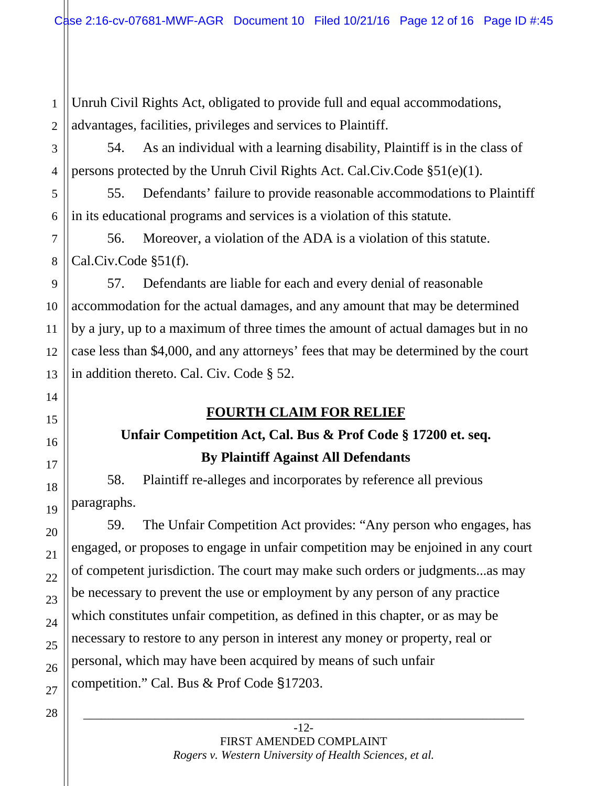1 2 Unruh Civil Rights Act, obligated to provide full and equal accommodations, advantages, facilities, privileges and services to Plaintiff.

54. As an individual with a learning disability, Plaintiff is in the class of persons protected by the Unruh Civil Rights Act. Cal.Civ.Code §51(e)(1).

55. Defendants' failure to provide reasonable accommodations to Plaintiff in its educational programs and services is a violation of this statute.

56. Moreover, a violation of the ADA is a violation of this statute. Cal.Civ.Code §51(f).

57. Defendants are liable for each and every denial of reasonable accommodation for the actual damages, and any amount that may be determined by a jury, up to a maximum of three times the amount of actual damages but in no case less than \$4,000, and any attorneys' fees that may be determined by the court in addition thereto. Cal. Civ. Code § 52.

# **FOURTH CLAIM FOR RELIEF**

# **Unfair Competition Act, Cal. Bus & Prof Code § 17200 et. seq. By Plaintiff Against All Defendants**

58. Plaintiff re-alleges and incorporates by reference all previous paragraphs.

59. The Unfair Competition Act provides: "Any person who engages, has engaged, or proposes to engage in unfair competition may be enjoined in any court of competent jurisdiction. The court may make such orders or judgments...as may be necessary to prevent the use or employment by any person of any practice which constitutes unfair competition, as defined in this chapter, or as may be necessary to restore to any person in interest any money or property, real or personal, which may have been acquired by means of such unfair competition." Cal. Bus & Prof Code §17203.

> -12- FIRST AMENDED COMPLAINT *Rogers v. Western University of Health Sciences, et al.*

\_\_\_\_\_\_\_\_\_\_\_\_\_\_\_\_\_\_\_\_\_\_\_\_\_\_\_\_\_\_\_\_\_\_\_\_\_\_\_\_\_\_\_\_\_\_\_\_\_\_\_\_\_\_\_\_\_\_\_\_\_\_\_\_\_\_\_\_\_\_\_\_\_\_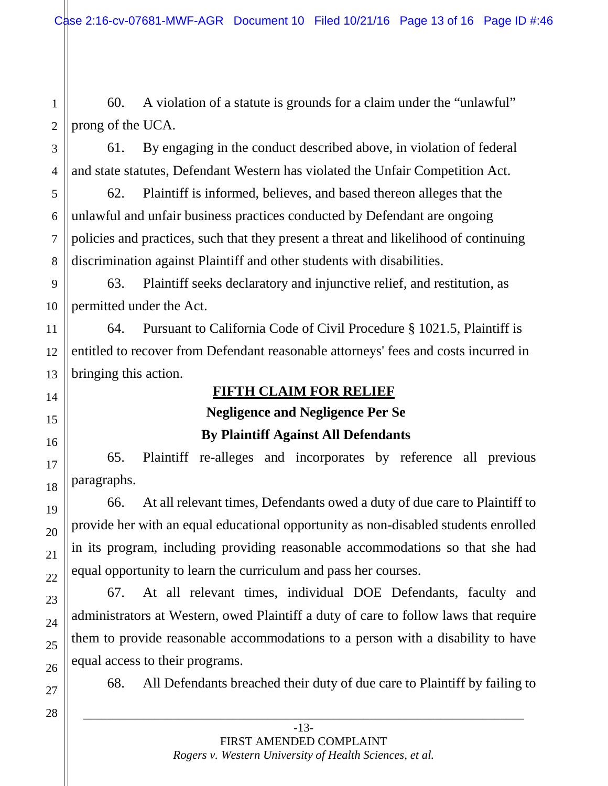1 2 60. A violation of a statute is grounds for a claim under the "unlawful" prong of the UCA.

61. By engaging in the conduct described above, in violation of federal and state statutes, Defendant Western has violated the Unfair Competition Act.

62. Plaintiff is informed, believes, and based thereon alleges that the unlawful and unfair business practices conducted by Defendant are ongoing policies and practices, such that they present a threat and likelihood of continuing discrimination against Plaintiff and other students with disabilities.

63. Plaintiff seeks declaratory and injunctive relief, and restitution, as permitted under the Act.

64. Pursuant to California Code of Civil Procedure § 1021.5, Plaintiff is entitled to recover from Defendant reasonable attorneys' fees and costs incurred in bringing this action.

## **FIFTH CLAIM FOR RELIEF**

### **Negligence and Negligence Per Se**

### **By Plaintiff Against All Defendants**

65. Plaintiff re-alleges and incorporates by reference all previous paragraphs.

66. At all relevant times, Defendants owed a duty of due care to Plaintiff to provide her with an equal educational opportunity as non-disabled students enrolled in its program, including providing reasonable accommodations so that she had equal opportunity to learn the curriculum and pass her courses.

67. At all relevant times, individual DOE Defendants, faculty and administrators at Western, owed Plaintiff a duty of care to follow laws that require them to provide reasonable accommodations to a person with a disability to have equal access to their programs.

68. All Defendants breached their duty of due care to Plaintiff by failing to

-13- FIRST AMENDED COMPLAINT *Rogers v. Western University of Health Sciences, et al.*

\_\_\_\_\_\_\_\_\_\_\_\_\_\_\_\_\_\_\_\_\_\_\_\_\_\_\_\_\_\_\_\_\_\_\_\_\_\_\_\_\_\_\_\_\_\_\_\_\_\_\_\_\_\_\_\_\_\_\_\_\_\_\_\_\_\_\_\_\_\_\_\_\_\_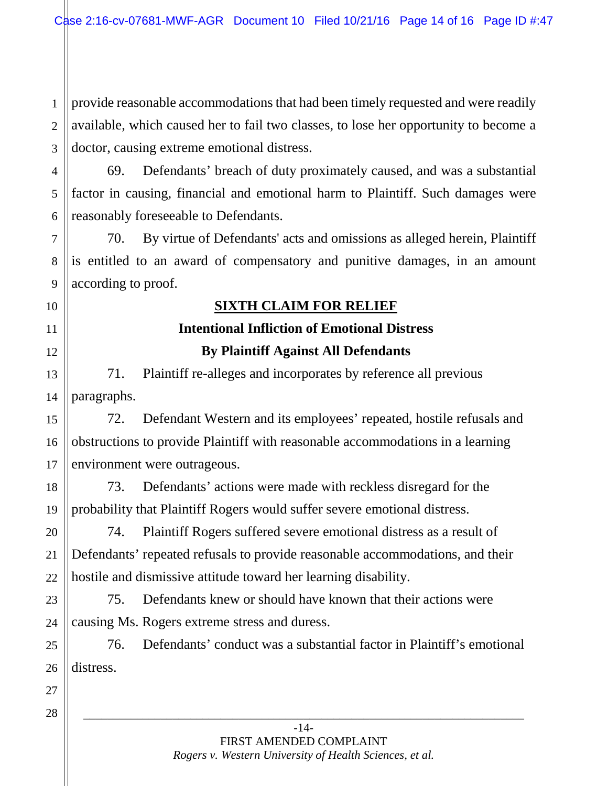1 2 provide reasonable accommodations that had been timely requested and were readily available, which caused her to fail two classes, to lose her opportunity to become a doctor, causing extreme emotional distress.

69. Defendants' breach of duty proximately caused, and was a substantial factor in causing, financial and emotional harm to Plaintiff. Such damages were reasonably foreseeable to Defendants.

70. By virtue of Defendants' acts and omissions as alleged herein, Plaintiff is entitled to an award of compensatory and punitive damages, in an amount according to proof.

# **SIXTH CLAIM FOR RELIEF**

# **Intentional Infliction of Emotional Distress By Plaintiff Against All Defendants**

71. Plaintiff re-alleges and incorporates by reference all previous paragraphs.

72. Defendant Western and its employees' repeated, hostile refusals and obstructions to provide Plaintiff with reasonable accommodations in a learning environment were outrageous.

73. Defendants' actions were made with reckless disregard for the probability that Plaintiff Rogers would suffer severe emotional distress.

74. Plaintiff Rogers suffered severe emotional distress as a result of Defendants' repeated refusals to provide reasonable accommodations, and their hostile and dismissive attitude toward her learning disability.

75. Defendants knew or should have known that their actions were causing Ms. Rogers extreme stress and duress.

76. Defendants' conduct was a substantial factor in Plaintiff's emotional distress.

> -14- FIRST AMENDED COMPLAINT *Rogers v. Western University of Health Sciences, et al.*

\_\_\_\_\_\_\_\_\_\_\_\_\_\_\_\_\_\_\_\_\_\_\_\_\_\_\_\_\_\_\_\_\_\_\_\_\_\_\_\_\_\_\_\_\_\_\_\_\_\_\_\_\_\_\_\_\_\_\_\_\_\_\_\_\_\_\_\_\_\_\_\_\_\_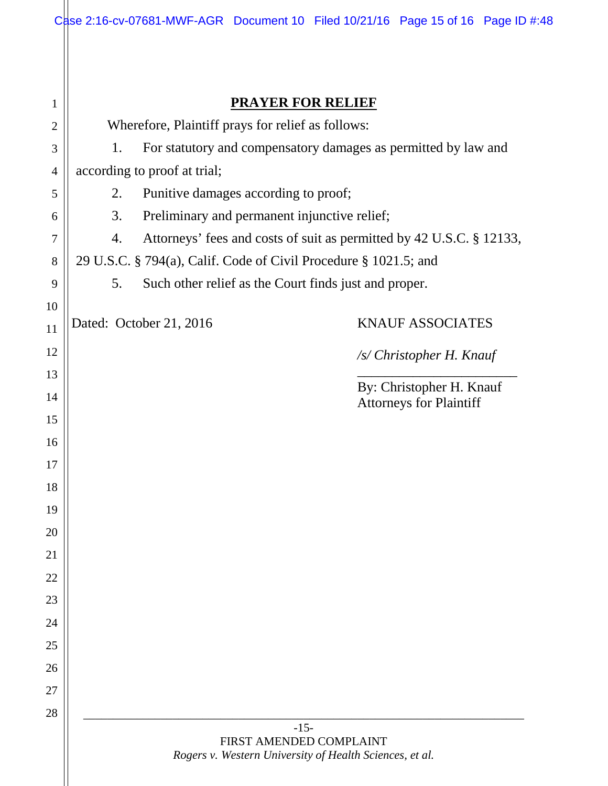|                |                                                                      |                                              |  |  | Case 2:16-cv-07681-MWF-AGR Document 10 Filed 10/21/16 Page 15 of 16 Page ID #:48 |  |  |  |
|----------------|----------------------------------------------------------------------|----------------------------------------------|--|--|----------------------------------------------------------------------------------|--|--|--|
|                |                                                                      |                                              |  |  |                                                                                  |  |  |  |
|                |                                                                      |                                              |  |  |                                                                                  |  |  |  |
| 1              |                                                                      | <b>PRAYER FOR RELIEF</b>                     |  |  |                                                                                  |  |  |  |
| $\overline{2}$ | Wherefore, Plaintiff prays for relief as follows:                    |                                              |  |  |                                                                                  |  |  |  |
| 3              | For statutory and compensatory damages as permitted by law and<br>1. |                                              |  |  |                                                                                  |  |  |  |
| $\overline{4}$ | according to proof at trial;                                         |                                              |  |  |                                                                                  |  |  |  |
| 5              | Punitive damages according to proof;<br>2.                           |                                              |  |  |                                                                                  |  |  |  |
| 6              | 3.                                                                   | Preliminary and permanent injunctive relief; |  |  |                                                                                  |  |  |  |
| 7              | 4.                                                                   |                                              |  |  | Attorneys' fees and costs of suit as permitted by 42 U.S.C. § 12133,             |  |  |  |
| 8              | 29 U.S.C. § 794(a), Calif. Code of Civil Procedure § 1021.5; and     |                                              |  |  |                                                                                  |  |  |  |
| 9              | 5.<br>Such other relief as the Court finds just and proper.          |                                              |  |  |                                                                                  |  |  |  |
| 10             |                                                                      | Dated: October 21, 2016                      |  |  | <b>KNAUF ASSOCIATES</b>                                                          |  |  |  |
| 11             |                                                                      |                                              |  |  |                                                                                  |  |  |  |
| 12             |                                                                      |                                              |  |  | /s/ Christopher H. Knauf                                                         |  |  |  |
| 13             |                                                                      |                                              |  |  | By: Christopher H. Knauf                                                         |  |  |  |
| 14<br>15       |                                                                      |                                              |  |  | <b>Attorneys for Plaintiff</b>                                                   |  |  |  |
| 16             |                                                                      |                                              |  |  |                                                                                  |  |  |  |
| 17             |                                                                      |                                              |  |  |                                                                                  |  |  |  |
| 18             |                                                                      |                                              |  |  |                                                                                  |  |  |  |
| 19             |                                                                      |                                              |  |  |                                                                                  |  |  |  |
| 20             |                                                                      |                                              |  |  |                                                                                  |  |  |  |
| 21             |                                                                      |                                              |  |  |                                                                                  |  |  |  |
| 22             |                                                                      |                                              |  |  |                                                                                  |  |  |  |
| 23             |                                                                      |                                              |  |  |                                                                                  |  |  |  |
| 24             |                                                                      |                                              |  |  |                                                                                  |  |  |  |
| 25             |                                                                      |                                              |  |  |                                                                                  |  |  |  |
| 26             |                                                                      |                                              |  |  |                                                                                  |  |  |  |
| 27             |                                                                      |                                              |  |  |                                                                                  |  |  |  |
| 28             |                                                                      |                                              |  |  |                                                                                  |  |  |  |
|                |                                                                      | $-15-$<br>FIRST AMENDED COMPLAINT            |  |  |                                                                                  |  |  |  |
|                | Rogers v. Western University of Health Sciences, et al.              |                                              |  |  |                                                                                  |  |  |  |